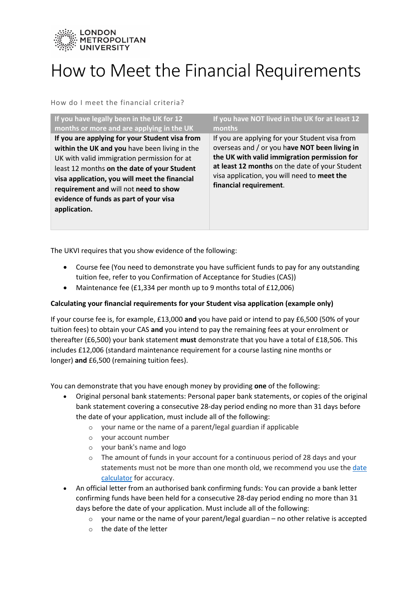

# How to Meet the Financial Requirements

How do I meet the financial criteria?

| If you have legally been in the UK for 12                                                                                                                                                                                                                                                                                                         | If you have NOT lived in the UK for at least 12                                                                                                                                                                                                                            |
|---------------------------------------------------------------------------------------------------------------------------------------------------------------------------------------------------------------------------------------------------------------------------------------------------------------------------------------------------|----------------------------------------------------------------------------------------------------------------------------------------------------------------------------------------------------------------------------------------------------------------------------|
| months or more and are applying in the UK                                                                                                                                                                                                                                                                                                         | months                                                                                                                                                                                                                                                                     |
| If you are applying for your Student visa from<br>within the UK and you have been living in the<br>UK with valid immigration permission for at<br>least 12 months on the date of your Student<br>visa application, you will meet the financial<br>requirement and will not need to show<br>evidence of funds as part of your visa<br>application. | If you are applying for your Student visa from<br>overseas and / or you have NOT been living in<br>the UK with valid immigration permission for<br>at least 12 months on the date of your Student<br>visa application, you will need to meet the<br>financial requirement. |

The UKVI requires that you show evidence of the following:

- Course fee (You need to demonstrate you have sufficient funds to pay for any outstanding tuition fee, refer to you Confirmation of Acceptance for Studies (CAS))
- Maintenance fee (£1,334 per month up to 9 months total of £12,006)

## **Calculating your financial requirements for your Student visa application (example only)**

If your course fee is, for example, £13,000 **and** you have paid or intend to pay £6,500 (50% of your tuition fees) to obtain your CAS **and** you intend to pay the remaining fees at your enrolment or thereafter (£6,500) your bank statement **must** demonstrate that you have a total of £18,506. This includes £12,006 (standard maintenance requirement for a course lasting nine months or longer) **and** £6,500 (remaining tuition fees).

You can demonstrate that you have enough money by providing **one** of the following:

- Original personal bank statements: Personal paper bank statements, or copies of the original bank statement covering a consecutive 28-day period ending no more than 31 days before the date of your application, must include all of the following:
	- o your name or the name of a parent/legal guardian if applicable
	- o your account number
	- o your bank's name and logo
	- $\circ$  The amount of funds in your account for a continuous period of 28 days and your statements must not be more than one month old, we recommend you use the [date](https://www.timeanddate.com/date/duration.html)  [calculator](https://www.timeanddate.com/date/duration.html) for accuracy.
- An official letter from an authorised bank confirming funds: You can provide a bank letter confirming funds have been held for a consecutive 28-day period ending no more than 31 days before the date of your application. Must include all of the following:
	- $\circ$  your name or the name of your parent/legal guardian no other relative is accepted
	- o the date of the letter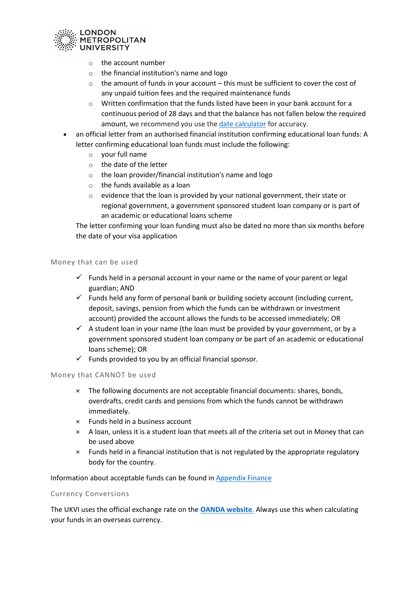

- o the account number
- $\circ$  the financial institution's name and logo
- $\circ$  the amount of funds in your account this must be sufficient to cover the cost of any unpaid tuition fees and the required maintenance funds
- o Written confirmation that the funds listed have been in your bank account for a continuous period of 28 days and that the balance has not fallen below the required amount, we recommend you use th[e date calculator](https://www.timeanddate.com/date/duration.html) for accuracy.
- an official letter from an authorised financial institution confirming educational loan funds: A letter confirming educational loan funds must include the following:
	- o your full name
	- o the date of the letter
	- o the loan provider/financial institution's name and logo
	- o the funds available as a loan
	- $\circ$  evidence that the loan is provided by your national government, their state or regional government, a government sponsored student loan company or is part of an academic or educational loans scheme

The letter confirming your loan funding must also be dated no more than six months before the date of your visa application

#### Money that can be used

- $\checkmark$  Funds held in a personal account in your name or the name of your parent or legal guardian; AND
- $\checkmark$  Funds held any form of personal bank or building society account (including current, deposit, savings, pension from which the funds can be withdrawn or investment account) provided the account allows the funds to be accessed immediately; OR
- $\checkmark$  A student loan in your name (the loan must be provided by your government, or by a government sponsored student loan company or be part of an academic or educational loans scheme); OR
- $\checkmark$  Funds provided to you by an official financial sponsor.

### Money that CANNOT be used

- × The following documents are not acceptable financial documents: shares, bonds, overdrafts, credit cards and pensions from which the funds cannot be withdrawn immediately.
- × Funds held in a business account
- × A loan, unless it is a student loan that meets all of the criteria set out in Money that can be used above
- × Funds held in a financial institution that is not regulated by the appropriate regulatory body for the country.

### Information about acceptable funds can be found in [Appendix Finance](https://www.gov.uk/guidance/immigration-rules/immigration-rules-appendix-finance)

### Currency Conversions

The UKVI uses the official exchange rate on the **[OANDA website](https://www1.oanda.com/currency/converter/)**. Always use this when calculating your funds in an overseas currency.